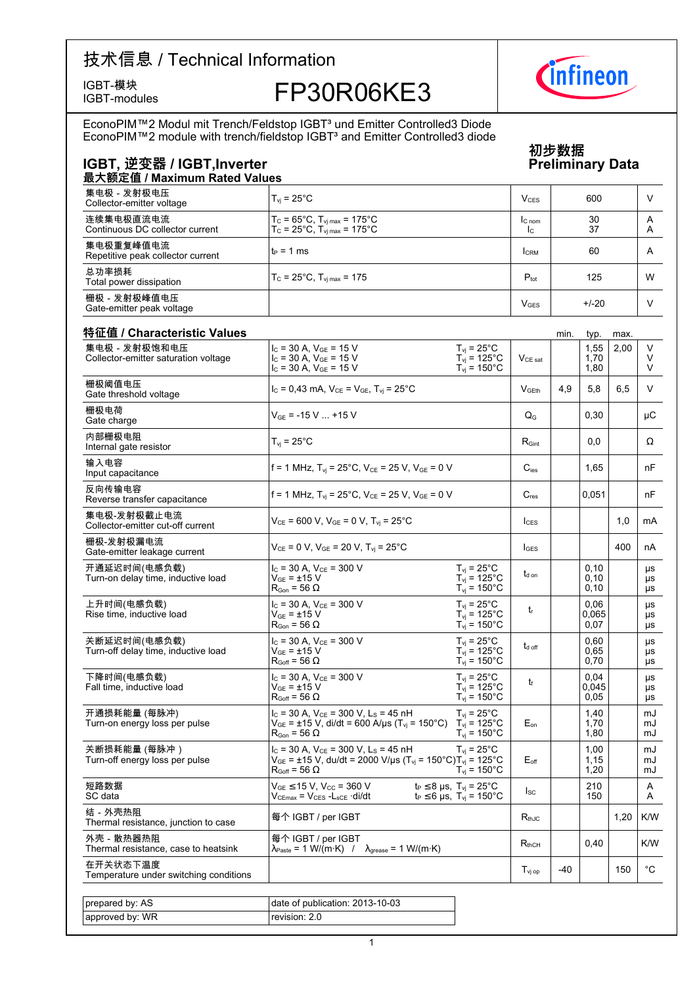IGBT-modules

# IGBT-模块<br>IGBT-modules FP30R06KE3

EconoPIM™2 Modul mit Trench/Feldstop IGBTª und Emitter Controlled3 Diode<br>EconoPIM™2 module with trench/fieldstop IGBTª and Emitter Controlled3 diode

### IGBT, 逆变器 / IGBT,Inverter Preliminary

### **初步数据 Data**

| 最大额定值 / Maximum Rated Values                   |                                                                                                                      |                        |          |        |  |  |  |  |  |
|------------------------------------------------|----------------------------------------------------------------------------------------------------------------------|------------------------|----------|--------|--|--|--|--|--|
| 集电极 - 发射极电压<br>Collector-emitter voltage       | $T_{\rm vi}$ = 25°C                                                                                                  | V <sub>CES</sub>       | 600      |        |  |  |  |  |  |
| 连续集电极直流电流<br>Continuous DC collector current   | $T_c = 65^{\circ}C$ , $T_{\text{vi max}} = 175^{\circ}C$<br>$T_c = 25^{\circ}C$ , $T_{\text{vi max}} = 175^{\circ}C$ | $IC$ nom<br>Ic.        | 30<br>37 | Α<br>A |  |  |  |  |  |
| 集电极重复峰值电流<br>Repetitive peak collector current | $t_P = 1$ ms                                                                                                         | <b>CRM</b>             | 60       | A      |  |  |  |  |  |
| 总功率损耗<br>Total power dissipation               | $T_c = 25^{\circ}$ C, $T_{\text{vi max}} = 175$                                                                      | $P_{\text{tot}}$       | 125      | W      |  |  |  |  |  |
| 栅极 - 发射极峰值电压<br>Gate-emitter peak voltage      |                                                                                                                      | <b>V<sub>GES</sub></b> | $+/-20$  |        |  |  |  |  |  |

| 集电极 - 发射极饱和电压                                       | $I_c = 30$ A, $V_{GE} = 15$ V                                                                                                                                                    | $T_{\rm vj}$ = 25°C                                                                 |                     |       | typ.<br>1,55          | 2,00 | V                     |
|-----------------------------------------------------|----------------------------------------------------------------------------------------------------------------------------------------------------------------------------------|-------------------------------------------------------------------------------------|---------------------|-------|-----------------------|------|-----------------------|
| Collector-emitter saturation voltage                | $I_C = 30 A$ , $V_{GE} = 15 V$<br>$I_c = 30$ A, $V_{GE} = 15$ V                                                                                                                  | $T_{\text{vj}}$ = 125°C<br>$T_{vi}$ = 150 $^{\circ}$ C                              | $V_{CE\ sat}$       |       | 1,70<br>1,80          |      | V<br>V                |
| 栅极阈值电压<br>Gate threshold voltage                    | $I_c = 0.43$ mA, $V_{CE} = V_{GE}$ , $T_{vi} = 25^{\circ}$ C                                                                                                                     |                                                                                     | V <sub>GEth</sub>   | 4.9   | 5.8                   | 6,5  | V                     |
| 栅极电荷<br>Gate charge                                 | $V_{GE}$ = -15 V  +15 V                                                                                                                                                          |                                                                                     | $Q_{\rm G}$         |       | 0,30                  |      | μC                    |
| 内部栅极电阻<br>Internal gate resistor                    | $T_{\rm vj}$ = 25°C                                                                                                                                                              |                                                                                     | $R_{\text{Gint}}$   |       | 0,0                   |      | Ω                     |
| 输入电容<br>Input capacitance                           | f = 1 MHz, $T_{vi}$ = 25°C, $V_{CE}$ = 25 V, $V_{GE}$ = 0 V                                                                                                                      |                                                                                     | $C_{\text{ies}}$    |       | 1,65                  |      | nF                    |
| 反向传输电容<br>Reverse transfer capacitance              | f = 1 MHz, $T_{vi}$ = 25°C, $V_{CE}$ = 25 V, $V_{GE}$ = 0 V                                                                                                                      |                                                                                     | $C_{res}$           |       | 0,051                 |      | nF                    |
| 集电极-发射极截止电流<br>Collector-emitter cut-off current    | $V_{CE}$ = 600 V, $V_{GE}$ = 0 V, $T_{vi}$ = 25°C                                                                                                                                |                                                                                     | $I_{CFS}$           |       |                       | 1,0  | <b>mA</b>             |
| 栅极-发射极漏电流<br>Gate-emitter leakage current           | $V_{CE}$ = 0 V, $V_{GE}$ = 20 V, $T_{vi}$ = 25°C                                                                                                                                 |                                                                                     | $I_{GES}$           |       |                       | 400  | nA                    |
| 开通延迟时间(电感负载)<br>Turn-on delay time, inductive load  | $I_c = 30$ A, $V_{CE} = 300$ V<br>$V_{GF}$ = ±15 V<br>$R_{\text{Gon}} = 56 \Omega$                                                                                               | $T_{\rm vj}$ = 25°C<br>$T_{vi}$ = 125°C<br>$T_{vi}$ = 150 $^{\circ}$ C              | $t_{d}$ on          |       | 0, 10<br>0,10<br>0,10 |      | μs<br>μs<br>μs        |
| 上升时间(电感负载)<br>Rise time, inductive load             | $I_C$ = 30 A, $V_{CE}$ = 300 V<br>$V_{GE} = \pm 15 V$<br>$R_{\text{Gon}}$ = 56 $\Omega$                                                                                          | $T_{vi}$ = 25°C<br>$T_{vi}$ = 125°C<br>$T_{vi}$ = 150 $^{\circ}$ C                  | $t_{r}$             |       | 0,06<br>0.065<br>0,07 |      | μs<br>μs<br>μs        |
| 关断延迟时间(电感负载)<br>Turn-off delay time, inductive load | $I_C$ = 30 A, $V_{CE}$ = 300 V<br>$V_{GF}$ = $\pm$ 15 V<br>$R_{Goff}$ = 56 $\Omega$                                                                                              | $T_{\rm vj}$ = 25°C<br>$T_{\text{vj}}$ = 125°C<br>$T_{vi} = 150^{\circ}$ C          | $t_{d \text{ off}}$ |       | 0,60<br>0.65<br>0,70  |      | μs<br>μs<br>μs        |
| 下降时间(电感负载)<br>Fall time, inductive load             | $I_c = 30$ A, $V_{CE} = 300$ V<br>$V_{GF} = \pm 15 V$<br>$R_{Goff}$ = 56 $\Omega$                                                                                                | $T_{vi}$ = 25 $^{\circ}$ C<br>$T_{vi}$ = 125°C<br>$T_{vi}$ = 150 $^{\circ}$ C       | t                   |       | 0.04<br>0.045<br>0,05 |      | <b>US</b><br>μs<br>μs |
| 开通损耗能量 (每脉冲)<br>Turn-on energy loss per pulse       | $I_c$ = 30 A, $V_{CE}$ = 300 V, L <sub>s</sub> = 45 nH<br>$V_{GE}$ = ±15 V, di/dt = 600 A/µs (T <sub>vj</sub> = 150°C) T <sub>vj</sub> = 125°C<br>$R_{\text{Gon}}$ = 56 $\Omega$ | $T_{\rm vj}$ = 25°C<br>$T_{\rm vj} = 150^{\circ}$ C                                 | $E_{on}$            |       | 1,40<br>1,70<br>1,80  |      | mJ<br>mJ<br>mJ        |
| 关断损耗能量 (每脉冲)<br>Turn-off energy loss per pulse      | $I_c$ = 30 A, $V_{CE}$ = 300 V, L <sub>s</sub> = 45 nH<br>$V_{GE}$ = ±15 V, du/dt = 2000 V/µs (T <sub>vi</sub> = 150°C)T <sub>vi</sub> = 125°C<br>$R_{Goff}$ = 56 $\Omega$       | $T_{vi}$ = 25 $^{\circ}$ C<br>$T_{vi}$ = 150 $^{\circ}$ C                           | $E_{\text{off}}$    |       | 1,00<br>1,15<br>1,20  |      | mJ<br>mJ<br>mJ        |
| 短路数据<br>SC data                                     | $V_{GE}$ $\leq$ 15 V, V <sub>cc</sub> = 360 V<br>$V_{CEmax} = V_{CES} - L_{sCE} \cdot di/dt$                                                                                     | $t_P \leq 8$ µs, $T_{vj} = 25^{\circ}C$<br>$t_P \le 6$ µs, $T_{vi} = 150^{\circ}$ C | $I_{SC}$            |       | 210<br>150            |      | A<br>A                |
| 结 - 外壳热阻<br>Thermal resistance, junction to case    | 每个 IGBT / per IGBT                                                                                                                                                               |                                                                                     | $R_{thJC}$          |       |                       | 1,20 | K/W                   |
| 外壳 - 散热器热阻<br>Thermal resistance, case to heatsink  | 每个 IGBT / per IGBT<br>$\lambda_{\text{Paste}} = 1 \text{ W/(m·K)}$ / $\lambda_{\text{grease}} = 1 \text{ W/(m·K)}$                                                               |                                                                                     | $R_{thCH}$          |       | 0,40                  |      | K/W                   |
| 在开关状态下温度<br>Temperature under switching conditions  |                                                                                                                                                                                  |                                                                                     | $T_{\rm vj~op}$     | $-40$ |                       | 150  | $^{\circ}$ C          |
|                                                     |                                                                                                                                                                                  |                                                                                     |                     |       |                       |      |                       |
| prepared by: AS                                     | date of publication: 2013-10-03                                                                                                                                                  |                                                                                     |                     |       |                       |      |                       |
| approved by: WR                                     | revision: 2.0                                                                                                                                                                    |                                                                                     |                     |       |                       |      |                       |

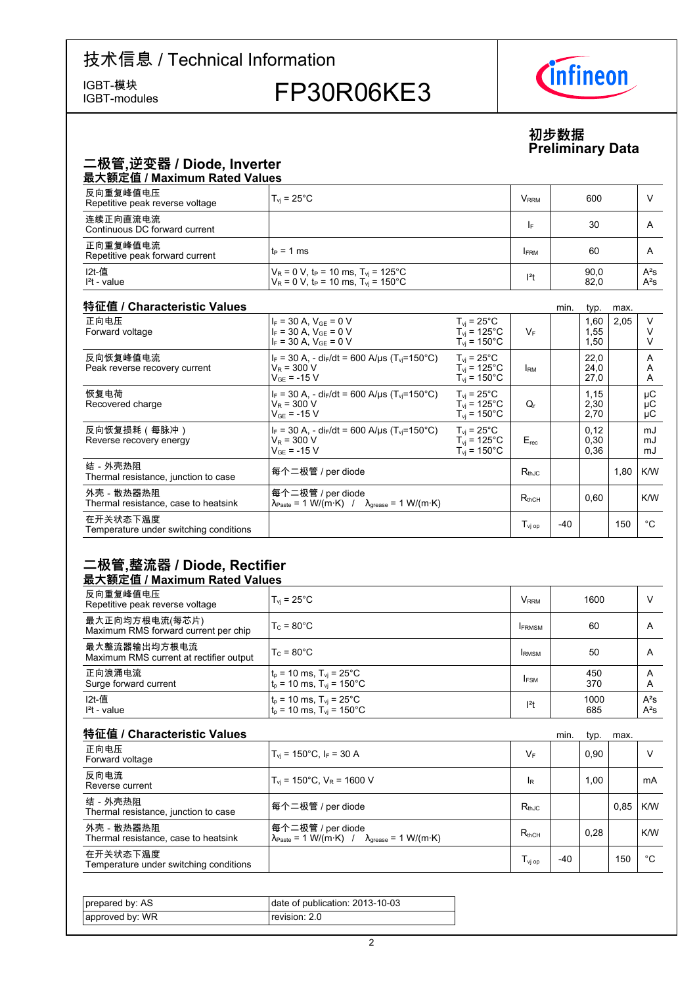IGBT-modules

# IGBT-模块<br>IGBT-modules FP30R06KE3



### **初步数据 Preliminary-Data**

### 二极管,逆变器 / Diode, Inverter

| 最大额定值 / Maximum Rated Values                |                                                                                                                              |                         |              |                  |  |  |  |  |  |
|---------------------------------------------|------------------------------------------------------------------------------------------------------------------------------|-------------------------|--------------|------------------|--|--|--|--|--|
| 反向重复峰值电压<br>Repetitive peak reverse voltage | $T_{\rm vi}$ = 25 $^{\circ}$ C                                                                                               | <b>V</b> <sub>RRM</sub> | 600          |                  |  |  |  |  |  |
| 连续正向直流电流<br>Continuous DC forward current   |                                                                                                                              | I۴                      | 30           | A                |  |  |  |  |  |
| 正向重复峰值电流<br>Repetitive peak forward current | lt∍ = 1 ms                                                                                                                   | <b>FRM</b>              | 60           | A                |  |  |  |  |  |
| I2t-值<br>$l2t$ - value                      | $V_R$ = 0 V, t <sub>P</sub> = 10 ms, T <sub>vi</sub> = 125°C<br>$V_R = 0$ V, t <sub>P</sub> = 10 ms, T <sub>vi</sub> = 150°C | $12$ t                  | 90,0<br>82,0 | $A^2S$<br>$A^2S$ |  |  |  |  |  |

#### 特征值 / Characteristic

| 特征值 / Characteristic Values                        |                                                                                                                   |                                                                                   |                              | min.  | typ.                 | max. |                |
|----------------------------------------------------|-------------------------------------------------------------------------------------------------------------------|-----------------------------------------------------------------------------------|------------------------------|-------|----------------------|------|----------------|
| 正向电压<br>Forward voltage                            | $I_F = 30 A$ , $V_{GF} = 0 V$<br>$I_F = 30 A$ , $V_{GE} = 0 V$<br>$I_F = 30 A$ , $V_{GF} = 0 V$                   | $T_{vi}$ = 25°C<br>$T_{vi}$ = 125°C<br>$T_{vi}$ = 150 $^{\circ}$ C                | $V_F$                        |       | 1,60<br>1,55<br>1,50 | 2,05 | $\vee$         |
| 反向恢复峰值电流<br>Peak reverse recovery current          | $I_F = 30$ A, - di <sub>F</sub> /dt = 600 A/µs (T <sub>vi</sub> =150°C)<br>$V_R = 300 V$<br>$V_{GF}$ = -15 V      | $T_{vi}$ = 25°C<br>$T_{vi}$ = 125°C<br>$T_{vi}$ = 150 $^{\circ}$ C                | <b>IRM</b>                   |       | 22,0<br>24,0<br>27,0 |      | A<br>A<br>A    |
| 恢复电荷<br>Recovered charge                           | $I_F = 30$ A, - di $_F/dt = 600$ A/us (T <sub>vi</sub> =150 °C)<br>$V_R$ = 300 V<br>$V_{GF}$ = -15 V              | $T_{vi}$ = 25 $^{\circ}$ C<br>$T_{vi}$ = 125°C<br>$T_{\rm vi}$ = 150°C.           | Q,                           |       | 1,15<br>2,30<br>2,70 |      | μC<br>μC<br>μC |
| 反向恢复损耗(每脉冲)<br>Reverse recovery energy             | $I_F = 30$ A, - di $_F/dt = 600$ A/us (T <sub>vi</sub> =150 °C)<br>$V_R$ = 300 V<br>$V_{GF}$ = -15 V              | $T_{vi}$ = 25 $^{\circ}$ C<br>$T_{vi}$ = 125°C<br>$T_{\rm vi}$ = 150 $^{\circ}$ C | $E_{rec}$                    |       | 0,12<br>0,30<br>0,36 |      | mJ<br>mJ<br>mJ |
| 结-外壳热阻<br>Thermal resistance, junction to case     | 每个二极管 / per diode                                                                                                 |                                                                                   | $R_{th,IC}$                  |       |                      | 1,80 | K/W            |
| 外壳 - 散热器热阻<br>Thermal resistance, case to heatsink | 每个二极管 / per diode<br>$\lambda_{\text{Paste}} = 1 \text{ W/(m·K)}$ / $\lambda_{\text{grease}} = 1 \text{ W/(m·K)}$ |                                                                                   | $\mathsf{R}_{\text{thCH}}$   |       | 0,60                 |      | K/W            |
| 在开关状态下温度<br>Temperature under switching conditions |                                                                                                                   |                                                                                   | $\mathsf{T}_\mathsf{vi\ op}$ | $-40$ |                      | 150  | °€             |

### **二极管,整流器-/-Diode,-Rectifier**

### 最大额定值 / Maximum Rated Values

| 反向重复峰值电压<br>Repetitive peak reverse voltage             | $T_{\rm vi}$ = 25°C                                                                                                                 | <b>V</b> <sub>RRM</sub> | 1600        |                  |
|---------------------------------------------------------|-------------------------------------------------------------------------------------------------------------------------------------|-------------------------|-------------|------------------|
| 最大正向均方根电流(每芯片)<br>Maximum RMS forward current per chip  | $T_c = 80^{\circ}$ C                                                                                                                | <b>IFRMSM</b>           | 60          | A                |
| 最大整流器输出均方根电流<br>Maximum RMS current at rectifier output | $T_c = 80^{\circ}$ C                                                                                                                | <b>IRMSM</b>            | 50          | A                |
| 正向浪涌电流<br>Surge forward current                         | $\begin{cases} t_p = 10 \text{ ms}, T_{vj} = 25^{\circ} \text{C} \\ t_p = 10 \text{ ms}, T_{vj} = 150^{\circ} \text{C} \end{cases}$ | <b>IFSM</b>             | 450<br>370  | A<br>A           |
| I2t-值<br>$l2t$ - value                                  | $\begin{cases} t_p = 10 \text{ ms}, T_{vj} = 25^{\circ} \text{C} \\ t_p = 10 \text{ ms}, T_{vj} = 150^{\circ} \text{C} \end{cases}$ | $ ^{2}t$                | 1000<br>685 | $A^2S$<br>$A^2S$ |

| 特征值 / Characteristic Values                        |                                                                                                                   |                  | min.  | typ. | max. |     |
|----------------------------------------------------|-------------------------------------------------------------------------------------------------------------------|------------------|-------|------|------|-----|
| 正向电压<br>Forward voltage                            | $T_{vi}$ = 150°C, I <sub>F</sub> = 30 A                                                                           | $V_F$            |       | 0.90 |      |     |
| 反向电流<br>Reverse current                            | $T_{\text{vi}}$ = 150°C, $V_{\text{R}}$ = 1600 V                                                                  | <b>IR</b>        |       | 1,00 |      | mA  |
| 结-外壳热阳<br>Thermal resistance, junction to case     | 每个二极管 / per diode                                                                                                 | $R_{th,IC}$      |       |      | 0.85 | K/W |
| 外壳 - 散热器热阻<br>Thermal resistance, case to heatsink | 每个二极管 / per diode<br>$\lambda_{\text{Paste}} = 1 \text{ W/(m·K)}$ / $\lambda_{\text{grease}} = 1 \text{ W/(m·K)}$ | $R_{thCH}$       |       | 0.28 |      | K/W |
| 在开关状态下温度<br>Temperature under switching conditions |                                                                                                                   | $T_{\rm vi\,op}$ | $-40$ |      | 150  | °€  |

| prepared by: AS | date of publication: 2013-10-03 |
|-----------------|---------------------------------|
| approved by: WR | revision: 2.0                   |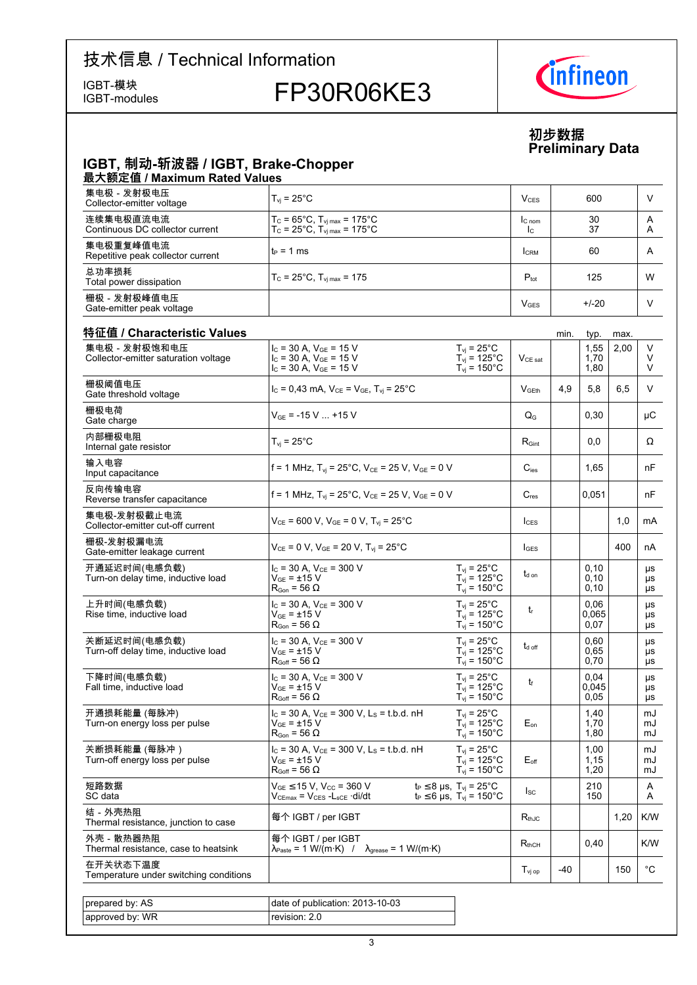IGBT-modules

# IGBT-模块<br>IGBT-modules FP30R06KE3



**初步数据 Preliminary-Data**

### **IGBT,-制动-斩波器-/-IGBT,-Brake-Chopper** 最大额定值 / Maximum Rated Values

| 集电极 - 发射极电压<br>Collector-emitter voltage       | $T_{\rm vi}$ = 25°C.                                                                   | V <sub>CES</sub>         | 600      |        |
|------------------------------------------------|----------------------------------------------------------------------------------------|--------------------------|----------|--------|
| 连续集电极直流电流<br>Continuous DC collector current   | $T_c$ = 65°C, $T_{\text{vi max}}$ = 175°C<br>$T_c$ = 25°C, $T_{\text{vi max}}$ = 175°C | IC <sub>nom</sub><br>Ic. | 30<br>37 | А<br>A |
| 集电极重复峰值电流<br>Repetitive peak collector current | $t_P = 1$ ms                                                                           | <b>CRM</b>               | 60       | A      |
| 总功率损耗<br>Total power dissipation               | $T_c = 25^{\circ}$ C, $T_{\text{vi max}} = 175$                                        | $P_{\text{tot}}$         | 125      | W      |
| 栅极 - 发射极峰值电压<br>Gate-emitter peak voltage      |                                                                                        | <b>V<sub>GES</sub></b>   | $+/-20$  |        |

| 特征值 / Characteristic Values                           |                                                                                                                         |                                                                                      |                           | min.  | typ.                  | max. |                  |
|-------------------------------------------------------|-------------------------------------------------------------------------------------------------------------------------|--------------------------------------------------------------------------------------|---------------------------|-------|-----------------------|------|------------------|
| 集电极 - 发射极饱和电压<br>Collector-emitter saturation voltage | $I_C$ = 30 A, $V_{GE}$ = 15 V<br>$I_C$ = 30 A, $V_{GE}$ = 15 V<br>$I_C = 30 A$ , $V_{GE} = 15 V$                        | $T_{vi}$ = 25°C<br>$T_{vi}$ = 125°C<br>$T_{vi}$ = 150 $^{\circ}$ C                   | $V_{CE\ sat}$             |       | 1,55<br>1,70<br>1,80  | 2,00 | V<br>V<br>$\vee$ |
| 栅极阈值电压<br>Gate threshold voltage                      | $I_C = 0,43$ mA, $V_{CE} = V_{GE}$ , $T_{vi} = 25^{\circ}$ C                                                            |                                                                                      | V <sub>GFth</sub>         | 4.9   | 5.8                   | 6.5  | V                |
| 栅极电荷<br>Gate charge                                   | $V_{GE}$ = -15 V  +15 V                                                                                                 |                                                                                      | $\mathsf{Q}_{\mathsf{G}}$ |       | 0,30                  |      | μC               |
| 内部栅极电阻<br>Internal gate resistor                      | $T_{vi}$ = 25°C                                                                                                         |                                                                                      | $R_{\text{Gint}}$         |       | 0,0                   |      | $\Omega$         |
| 输入电容<br>Input capacitance                             | f = 1 MHz, $T_{vi}$ = 25°C, $V_{CE}$ = 25 V, $V_{GE}$ = 0 V                                                             |                                                                                      | $C_{\text{ies}}$          |       | 1,65                  |      | nF               |
| 反向传输电容<br>Reverse transfer capacitance                | f = 1 MHz, $T_{vi}$ = 25°C, $V_{CE}$ = 25 V, $V_{GE}$ = 0 V                                                             |                                                                                      | $C_{res}$                 |       | 0,051                 |      | nF               |
| 集电极-发射极截止电流<br>Collector-emitter cut-off current      | $V_{CE}$ = 600 V, $V_{GE}$ = 0 V, $T_{vi}$ = 25°C                                                                       |                                                                                      | lc <sub>ES</sub>          |       |                       | 1,0  | mA               |
| 栅极-发射极漏电流<br>Gate-emitter leakage current             | $V_{CE}$ = 0 V, $V_{GE}$ = 20 V, T <sub>vi</sub> = 25°C                                                                 |                                                                                      | $I_{GES}$                 |       |                       | 400  | nA               |
| 开通延迟时间(电感负载)<br>Turn-on delay time, inductive load    | $I_{C}$ = 30 A, $V_{CF}$ = 300 V<br>$\rm V_{GE}$ = $\pm 15~\rm V$<br>$\mathsf{R}_{\mathsf{Gon}}$ = 56 $\Omega$          | $T_{\rm vj}$ = 25°C<br>$T_{vi}$ = 125°C<br>$T_{\text{vj}}$ = 150°C                   | $t_{d \text{ on}}$        |       | 0,10<br>0,10<br>0,10  |      | μs<br>μs<br>μs   |
| 上升时间(电感负载)<br>Rise time, inductive load               | $I_C = 30 A$ , $V_{CE} = 300 V$<br>$V_{GE}$ = $\pm$ 15 V<br>$\mathsf{R}_{\mathsf{Gon}}$ = 56 $\Omega$                   | $T_{\rm vj}$ = 25°C<br>$T_{vi}$ = 125°C<br>$T_{vi}$ = 150 $^{\circ}$ C               | $t_{\rm r}$               |       | 0.06<br>0.065<br>0,07 |      | μs<br>μs<br>μs   |
| 关断延迟时间(电感负载)<br>Turn-off delay time, inductive load   | $I_C$ = 30 A, $V_{CE}$ = 300 V<br>$V_{GF}$ = $\pm$ 15 V<br>$\mathsf{R}_{\mathsf{Goff}}$ = 56 $\Omega$                   | $T_{\rm vj}$ = 25°C<br>$T_{vi} = 125^{\circ}$ C<br>$T_{\text{vj}}$ = 150°C           | $t_{d \text{ off}}$       |       | 0,60<br>0.65<br>0,70  |      | μs<br>μs<br>μs   |
| 下降时间(电感负载)<br>Fall time, inductive load               | $I_c = 30 A$ , $V_{CE} = 300 V$<br>$V_{GF}$ = $\pm 15$ V<br>$R_{Goff}$ = 56 $\Omega$                                    | $T_{\text{vj}}$ = 25°C<br>$T_{vi}$ = 125°C<br>$T_{vi}$ = 150 $^{\circ}$ C            | t                         |       | 0,04<br>0.045<br>0,05 |      | μs<br>μs<br>μs   |
| 开通损耗能量 (每脉冲)<br>Turn-on energy loss per pulse         | $I_c$ = 30 A, $V_{CE}$ = 300 V, L <sub>s</sub> = t.b.d. nH<br>$V_{GE}$ = $\pm$ 15 V<br>$R_{\text{Gon}}$ = 56 $\Omega$   | $T_{vi}$ = 25°C<br>$T_{\text{vj}}$ = 125°C<br>$T_{vi}$ = 150 $^{\circ}$ C            | $E_{on}$                  |       | 1,40<br>1,70<br>1,80  |      | mJ<br>mJ<br>mJ   |
| 关断损耗能量 (每脉冲)<br>Turn-off energy loss per pulse        | $I_c$ = 30 A, $V_{CE}$ = 300 V, L <sub>s</sub> = t.b.d. nH<br>$V_{GE}$ = $\pm$ 15 V<br>$R_{Goff}$ = 56 $\Omega$         | $T_{vi}$ = 25°C<br>$T_{\text{vj}}$ = 125°C<br>$T_{\text{vj}}$ = 150°C                | $E_{\text{off}}$          |       | 1,00<br>1,15<br>1,20  |      | mJ<br>mJ<br>mJ   |
| 短路数据<br>SC data                                       | $V_{GE}$ $\leq$ 15 V, V <sub>CC</sub> = 360 V<br>$V_{\text{CEmax}}$ = $V_{\text{CES}}$ - $L_{\text{sCE}}$ $\cdot$ di/dt | $t_P \leq 8$ µs, $T_{vi} = 25^{\circ}$ C<br>$t_P \le 6$ µs, $T_{vi} = 150^{\circ}$ C | $I_{SC}$                  |       | 210<br>150            |      | A<br>A           |
| 结-外壳热阻<br>Thermal resistance, junction to case        | 每个 IGBT / per IGBT                                                                                                      |                                                                                      | $R_{thJC}$                |       |                       | 1,20 | K/W              |
| 外壳 - 散热器热阻<br>Thermal resistance, case to heatsink    | 每个 IGBT / per IGBT<br>$\lambda_{\text{Paste}} = 1 \text{ W/(m·K)}$ / $\lambda_{\text{grease}} = 1 \text{ W/(m·K)}$      |                                                                                      | $R_{thCH}$                |       | 0,40                  |      | K/W              |
| 在开关状态下温度<br>Temperature under switching conditions    |                                                                                                                         |                                                                                      | $T_{\rm vj~op}$           | $-40$ |                       | 150  | $^{\circ}$ C     |
|                                                       |                                                                                                                         |                                                                                      |                           |       |                       |      |                  |
| prepared by: AS                                       | date of publication: 2013-10-03                                                                                         |                                                                                      |                           |       |                       |      |                  |
| approved by: WR                                       | revision: 2.0                                                                                                           |                                                                                      |                           |       |                       |      |                  |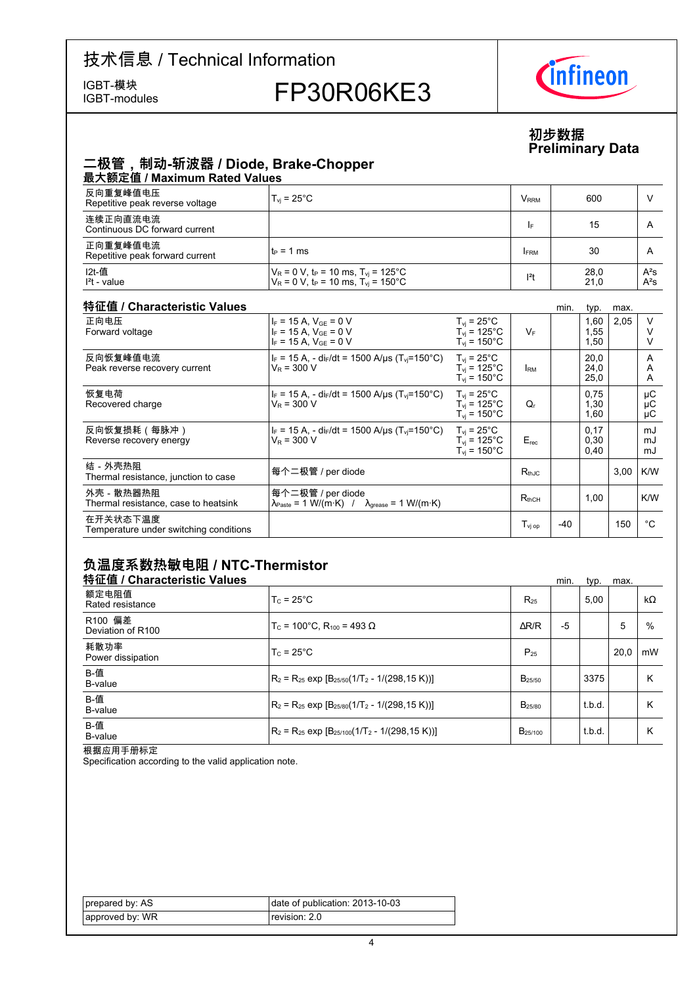IGBT-modules

## IGBT-模块<br>IGBT-modules FP30R06KE3



### **初步数据 Preliminary-Data**

### **二极管,制动-斩波器-/-Diode,-Brake-Chopper** 最大额定值 / Maximum Rated Values

| 4X/\8XALIE/ INQAIIIIQIII I\QLCQ VQIQCO      |                                                                                                                              |                  |              |                  |  |  |  |  |  |
|---------------------------------------------|------------------------------------------------------------------------------------------------------------------------------|------------------|--------------|------------------|--|--|--|--|--|
| 反向重复峰值电压<br>Repetitive peak reverse voltage | $T_{\rm vi}$ = 25°C .                                                                                                        | V <sub>rrm</sub> | 600          |                  |  |  |  |  |  |
| 连续正向直流电流<br>Continuous DC forward current   |                                                                                                                              | ١F               | 15           |                  |  |  |  |  |  |
| 正向重复峰值电流<br>Repetitive peak forward current | lt∍ = 1 ms                                                                                                                   | <b>FRM</b>       | 30           | А                |  |  |  |  |  |
| I2t-值<br>$l2t$ - value                      | $V_R$ = 0 V, t <sub>P</sub> = 10 ms, T <sub>vi</sub> = 125°C<br>$V_R$ = 0 V, t <sub>P</sub> = 10 ms, T <sub>vi</sub> = 150°C | $ ^{2}t$         | 28,0<br>21,0 | $A^2S$<br>$A^2S$ |  |  |  |  |  |

#### 特征值 / Characteristic

| 特征值 / Characteristic Values                        |                                                                                                                   |                                                                                       |                  | min.  | typ.                 | max. |                |
|----------------------------------------------------|-------------------------------------------------------------------------------------------------------------------|---------------------------------------------------------------------------------------|------------------|-------|----------------------|------|----------------|
| 正向电压<br>Forward voltage                            | $I_F = 15$ A, $V_{GE} = 0$ V<br>$I_F = 15 A$ , $V_{GE} = 0 V$<br>$I_F = 15 A$ , $V_{GE} = 0 V$                    | $T_{vi}$ = 25°C<br>$T_{vi}$ = 125°C<br>$T_{vi}$ = 150 $^{\circ}$ C                    | $V_F$            |       | 1,60<br>1,55<br>1,50 | 2,05 |                |
| 反向恢复峰值电流<br>Peak reverse recovery current          | $I_F = 15$ A, - di <sub>F</sub> /dt = 1500 A/us (T <sub>vi</sub> =150°C)<br>$V_R = 300 V$                         | $T_{vi}$ = 25°C<br>$T_{vi}$ = 125°C<br>$T_{vi}$ = 150 $^{\circ}$ C                    | <b>IRM</b>       |       | 20.0<br>24,0<br>25,0 |      | A<br>A<br>A    |
| 恢复电荷<br>Recovered charge                           | $I_F = 15 A$ , - di $I_F/dt = 1500 A/\mu s$ (T <sub>vj</sub> =150°C)<br>$V_R$ = 300 V                             | $T_{\rm vi}$ = 25 $^{\circ}$ C<br>$T_{vi}$ = 125°C<br>$T_{\rm vi}$ = 150 $^{\circ}$ C | Q,               |       | 0,75<br>1,30<br>1,60 |      | μC<br>μC<br>μC |
| 反向恢复损耗(每脉冲)<br>Reverse recovery energy             | $I_F$ = 15 A, - di <sub>F</sub> /dt = 1500 A/µs (T <sub>vi</sub> =150°C)<br>$V_{\rm P}$ = 300 V                   | $T_{vi}$ = 25°C<br>$T_{vi}$ = 125°C<br>$T_{vi}$ = 150 $^{\circ}$ C                    | $E_{rec}$        |       | 0,17<br>0,30<br>0,40 |      | mJ<br>mJ<br>mJ |
| 结-外壳热阻<br>Thermal resistance, junction to case     | 每个二极管 / per diode                                                                                                 |                                                                                       | $R_{thJC}$       |       |                      | 3,00 | K/W            |
| 外壳 - 散热器热阻<br>Thermal resistance, case to heatsink | 每个二极管 / per diode<br>$\lambda_{\text{Paste}} = 1 \text{ W/(m·K)}$ / $\lambda_{\text{grease}} = 1 \text{ W/(m·K)}$ |                                                                                       | $R_{thCH}$       |       | 1,00                 |      | K/W            |
| 在开关状态下温度<br>Temperature under switching conditions |                                                                                                                   |                                                                                       | $T_{\rm vi\,op}$ | $-40$ |                      | 150  | °C             |

### 负温度系数热敏电阻 / NTC-Thermistor

| 特征值 / Characteristic Values  |                                                          |                     | min. | typ.   | max. |           |
|------------------------------|----------------------------------------------------------|---------------------|------|--------|------|-----------|
| 额定电阻值<br>Rated resistance    | $T_c = 25^{\circ}$ C                                     | $R_{25}$            |      | 5,00   |      | $k\Omega$ |
| R100 偏差<br>Deviation of R100 | $T_c$ = 100°C. R <sub>100</sub> = 493 Ω                  | $\Delta$ R/R        | $-5$ |        | 5    | %         |
| 耗散功率<br>Power dissipation    | $T_c = 25^{\circ}$ C                                     | $P_{25}$            |      |        | 20.0 | mW        |
| B-值<br>B-value               | $R_2 = R_{25}$ exp $[B_{25/50}(1/T_2 - 1/(298, 15 K))]$  | $B_{25/50}$         |      | 3375   |      | Κ         |
| B-值<br>B-value               | $R_2 = R_{25}$ exp $[B_{25/80}(1/T_2 - 1/(298, 15 K))]$  | B <sub>25/80</sub>  |      | t.b.d. |      | κ         |
| B-值<br>B-value               | $R_2 = R_{25}$ exp $[B_{25/100}(1/T_2 - 1/(298, 15 K))]$ | B <sub>25/100</sub> |      | t.b.d. |      | κ         |

根据应用手册标定

Specification according to the valid application note.

| prepared by: AS | date of publication: 2013-10-03 |
|-----------------|---------------------------------|
| approved by: WR | revision: 2.0                   |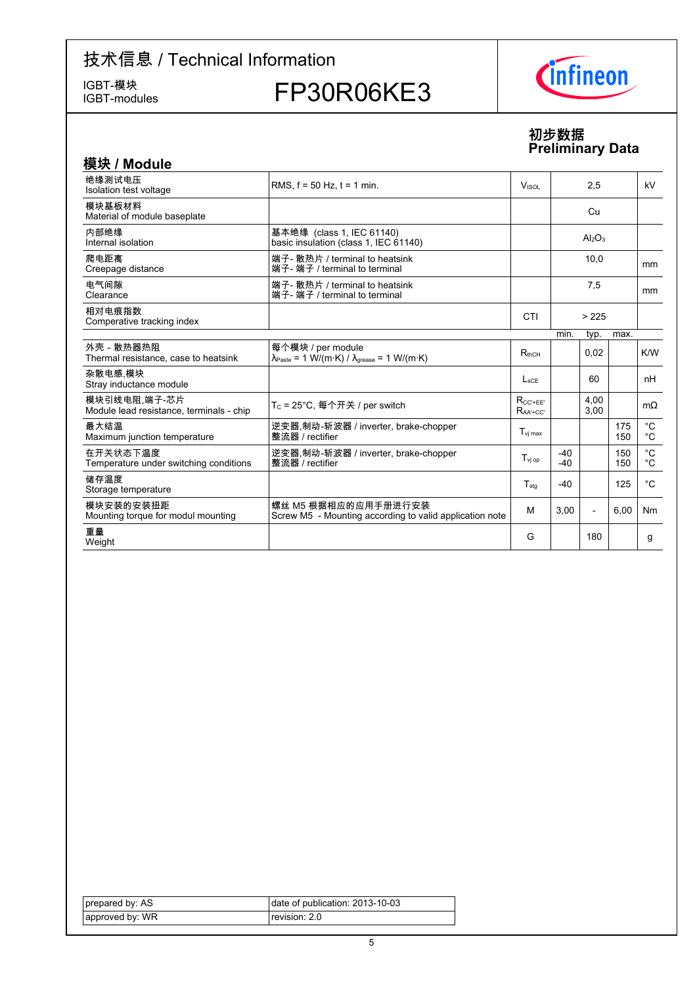IGBT-模块<br>IGBT-modules

FP30R06KE3



### **初步数据 Preliminary-Data**

| 模块 / Module                                              |                                                                                                                 |                               |                |                |            |                              |
|----------------------------------------------------------|-----------------------------------------------------------------------------------------------------------------|-------------------------------|----------------|----------------|------------|------------------------------|
| 绝缘测试电压<br>Isolation test voltage                         | RMS, $f = 50$ Hz, $t = 1$ min.                                                                                  | V <sub>ISOL</sub>             | 2,5            |                |            | kV                           |
| 模块基板材料<br>Material of module baseplate                   |                                                                                                                 |                               |                | Cu             |            |                              |
| 内部绝缘<br>Internal isolation                               | 基本绝缘 (class 1, IEC 61140)<br>basic insulation (class 1, IEC 61140)                                              |                               |                | $Al_2O_3$      |            |                              |
| 爬电距离<br>Creepage distance                                | 端子- 散热片 / terminal to heatsink<br>端子- 端子 / terminal to terminal                                                 |                               | 10,0           |                | mm         |                              |
| 电气间隙<br>Clearance                                        | 端子- 散热片 / terminal to heatsink<br>端子- 端子 / terminal to terminal                                                 |                               |                | 7,5            |            | <sub>mm</sub>                |
| 相对电痕指数<br>Comperative tracking index                     |                                                                                                                 | CTI                           |                | >225           |            |                              |
|                                                          |                                                                                                                 |                               | min.           | typ.           | max.       |                              |
| 外壳 - 散热器热阻<br>Thermal resistance, case to heatsink       | 每个模块 / per module<br>$\lambda_{\text{Paste}} = 1 \text{ W/(m·K)} / \lambda_{\text{grease}} = 1 \text{ W/(m·K)}$ | $R_{thCH}$                    |                | 0,02           |            | K/W                          |
| 杂散电感 模块<br>Stray inductance module                       |                                                                                                                 | $L_{\rm sCE}$                 |                | 60             |            | nH                           |
| 模块引线电阻,端子-芯片<br>Module lead resistance, terminals - chip | T <sub>C</sub> = 25°C, 每个开关 / per switch                                                                        | $R_{CC' + FF'}$<br>$RaA + CC$ |                | 4,00<br>3,00   |            | $m\Omega$                    |
| 最大结温<br>Maximum junction temperature                     | 逆变器,制动-斩波器 / inverter, brake-chopper<br>整流器 / rectifier                                                         | $T_{\rm vi\,max}$             |                |                | 175<br>150 | $^{\circ}$ C<br>$^{\circ}$ C |
| 在开关状态下温度<br>Temperature under switching conditions       | 逆变器,制动-斩波器 / inverter, brake-chopper<br>整流器 / rectifier                                                         | $T_{\rm vj~op}$               | $-40$<br>$-40$ |                | 150<br>150 | $^{\circ}C$<br>°C            |
| 储存温度<br>Storage temperature                              |                                                                                                                 | $T_{\text{sta}}$              | $-40$          |                | 125        | °C                           |
| 模块安装的安装扭距<br>Mounting torque for modul mounting          | 螺丝 M5 根据相应的应用手册进行安装<br>Screw M5 - Mounting according to valid application note                                  | м                             | 3.00           | $\overline{a}$ | 6,00       | N <sub>m</sub>               |
| 重量<br>Weight                                             |                                                                                                                 | G                             |                | 180            |            | g                            |

| prepared by: AS | date of publication: 2013-10-03 |
|-----------------|---------------------------------|
| approved by: WR | revision: 2.0                   |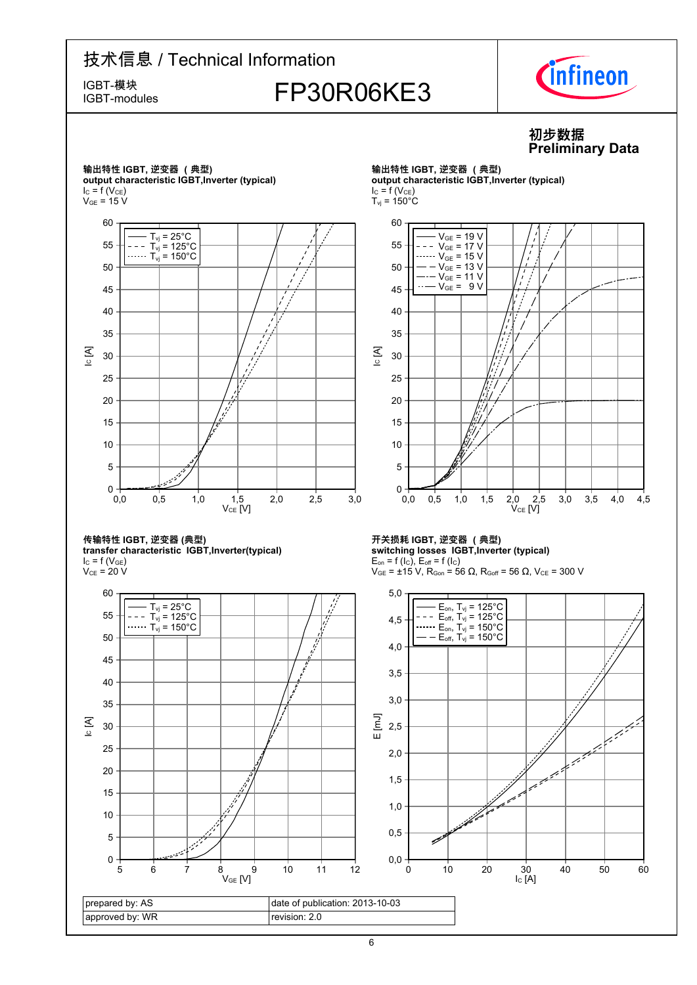IGBT-modules

 $I_{C} = f(V_{CE})$  $V_{GE}$  = 15 V

IC [A]

# IGBT-模块<br>IGBT-modules FP30R06KE3



#### **初步数据 Preliminary-Data** 输出特性 IGBT, 逆变器 (典型) 输出特性 IGBT, 逆变器 (典型) **output-characteristic-IGBT,Inverter-(typical) output-characteristic-IGBT,Inverter-(typical)**  $I_C = f(V_{CE})$  $T_{\text{vj}}$  = 150 $^{\circ}$ C 60  $T_{\text{vj}}$  = 25 $^{\circ}$ C  $V_{GE}$  = 19 V 55  $V_{GE}$  = 17 V T $_{\mathsf{vj}}$  = 125°C  $\cdots$  V<sub>GE</sub> = 15 V  $\mathsf{T}_{\mathsf{vj}}$  = 150°C  $-V_{GE} = 13 V$ 50  $\cdots$  V<sub>GE</sub> = 11 V  $-V_{GE} = 9 V$ 45 Ź 40 35 IC [A] 30 25 20 15 10 5 ن<br>رس  $0 + 0$ 0,0 0,5 1,0 1,5 2,0 2,5 3,0 3,5 4,0 4,5  $V_{CE}$  [V]  $V_{CE}$  [V] **开关损耗-IGBT,-逆变器-(典型) switching-losses--IGBT,Inverter-(typical)**  $E_{on}$  = f (l<sub>C</sub>),  $E_{off}$  = f (l<sub>C</sub>)  $V_{GE}$  = ±15 V, R<sub>Gon</sub> = 56 Ω, R<sub>Goff</sub> = 56 Ω, V<sub>CE</sub> = 300 V 5,0 l.<br>l  $E_{on}$ , T<sub>vj</sub> = 125°C E<sub>off</sub>, T<sub>vj</sub> = 125 $^{\circ}$ C 4,5 I,  $E_{on}$ , T<sub>vj</sub> = 150 $^{\circ}$ C  $E_{\text{off}}$ , T<sub>vj</sub> = 150 $^{\circ}$ C ر<br>تن 4,0 3,5 3,0

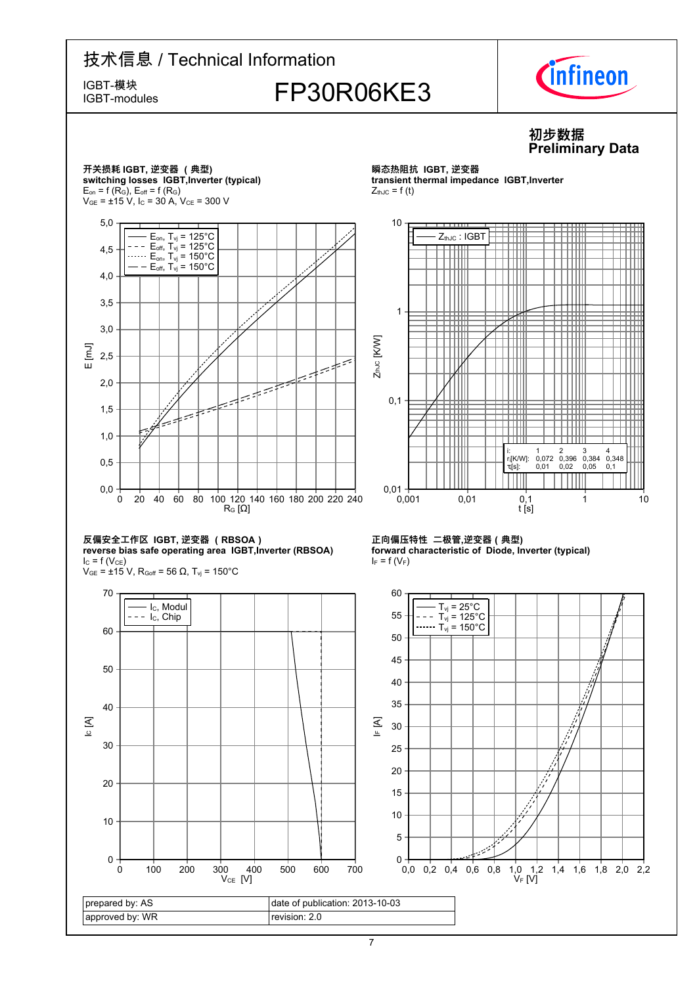

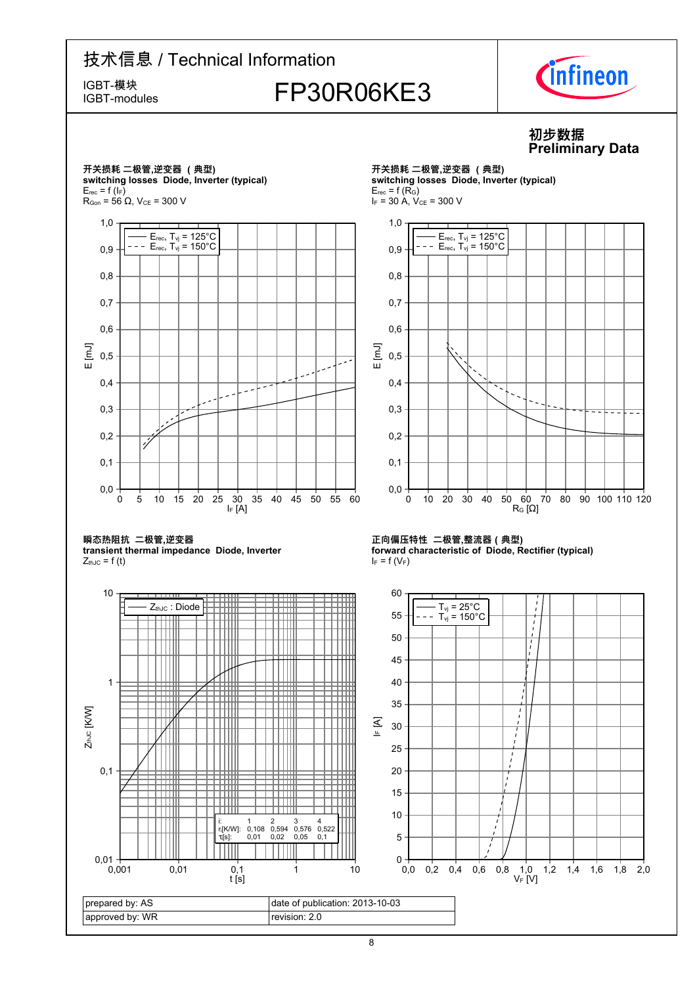IGBT-modules

# IGBT-模块<br>IGBT-modules FP30R06KE3



### **初步数据 Preliminary-Data**

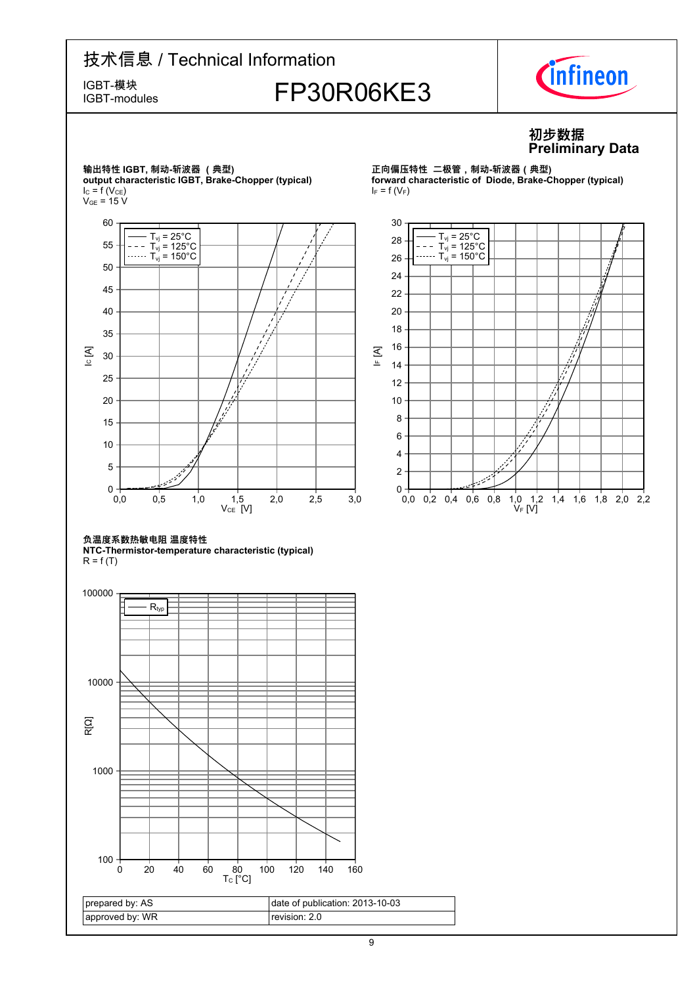IGBT-modules

# IGBT-模块<br>IGBT-modules FP30R06KE3



### **初步数据 Preliminary-Data**



**正向偏压特性--二极管,制动-斩波器(典型) forward characteristic of Diode, Brake-Chopper (typical)**  $I_F = f(V_F)$ 



#### **负温度系数热敏电阻-温度特性**

**NTC-Thermistor-temperature-characteristic-(typical)**  $R = f(T)$ 

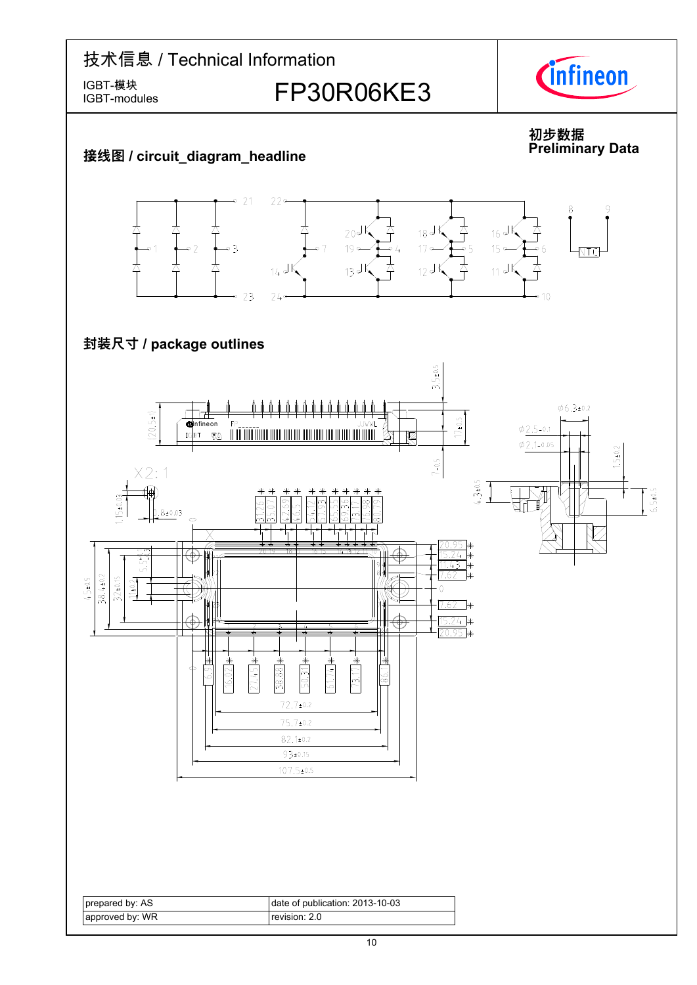